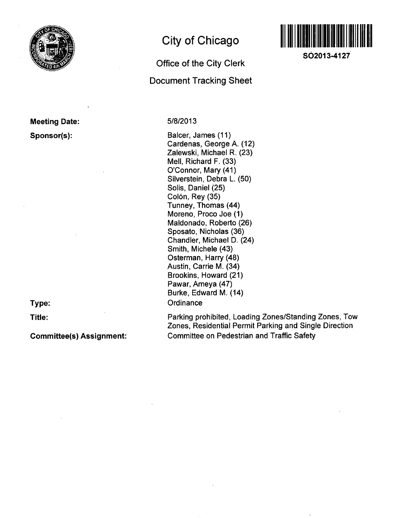

**Meeting Date: Sponsor(s):** 

**Type:** 

**Title:** 

**Committee(s) Assignment:** 

# **City of Chicago**

# **Office of the City Clerk Document Tracking Sheet**

# 5/8/2013

Balcer, James (11) Cardenas, George A. (12) Zaiewski, Michael R. (23) Mell, Richard F. (33) O'Connor, Mary (41) Silverstein, Debra L. (50) Solis, Daniel (25) Colón, Rey (35) Tunney, Thomas (44) Moreno, Proco Joe (1) Maldonado, Roberto (26) Sposato, Nicholas (36) Chandler, Michael D. (24) Smith, Michele (43) Osterman, Harry (48) Austin, Carrie M. (34) Brookins, Howard (21) Pawar, Ameya (47) Burke, Edward M. (14) **Ordinance** 

Parking prohibited. Loading Zones/Standing Zones, Tow Zones, Residential Permit Parking and Single Direction Committee on Pedestrian and Traffic Safety



**SO2013-4127**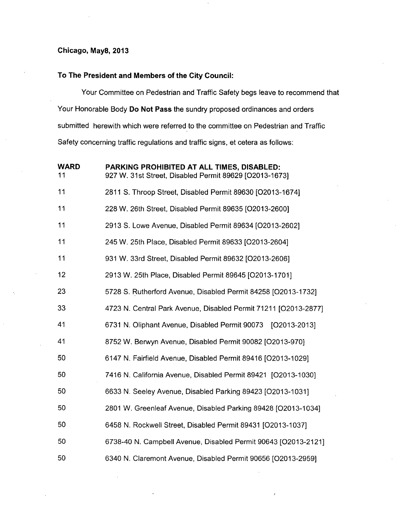# **Chicago, May8, 2013**

# **To The President and Members of the City Council:**

Your Committee on Pedestrian and Traffic Safety begs leave to recommend that Your Honorable Body Do Not Pass the sundry proposed ordinances and orders submitted herewith which were referred to the committee on Pedestrian and Traffic Safety concerning traffic regulations and traffic signs, et cetera as follows:

| <b>WARD</b><br>11 | PARKING PROHIBITED AT ALL TIMES, DISABLED:<br>927 W. 31st Street, Disabled Permit 89629 [O2013-1673] |
|-------------------|------------------------------------------------------------------------------------------------------|
| 11                | 2811 S. Throop Street, Disabled Permit 89630 [O2013-1674]                                            |
| 11                | 228 W. 26th Street, Disabled Permit 89635 [O2013-2600]                                               |
| 11                | 2913 S. Lowe Avenue, Disabled Permit 89634 [O2013-2602]                                              |
| 11                | 245 W. 25th Place, Disabled Permit 89633 [O2013-2604]                                                |
| 11                | 931 W. 33rd Street, Disabled Permit 89632 [O2013-2606]                                               |
| 12                | 2913 W. 25th Place, Disabled Permit 89645 [O2013-1701]                                               |
| 23                | 5728 S. Rutherford Avenue, Disabled Permit 84258 [O2013-1732]                                        |
| 33                | 4723 N. Central Park Avenue, Disabled Permit 71211 [O2013-2877]                                      |
| 41                | 6731 N. Oliphant Avenue, Disabled Permit 90073 [O2013-2013]                                          |
| 41                | 8752 W. Berwyn Avenue, Disabled Permit 90082 [O2013-970]                                             |
| 50                | 6147 N. Fairfield Avenue, Disabled Permit 89416 [O2013-1029]                                         |
| 50                | 7416 N. California Avenue, Disabled Permit 89421 [O2013-1030]                                        |
| 50                | 6633 N. Seeley Avenue, Disabled Parking 89423 [O2013-1031]                                           |
| 50                | 2801 W. Greenleaf Avenue, Disabled Parking 89428 [O2013-1034]                                        |
| 50                | 6458 N. Rockwell Street, Disabled Permit 89431 [O2013-1037]                                          |
| 50                | 6738-40 N. Campbell Avenue, Disabled Permit 90643 [O2013-2121]                                       |
| 50                | 6340 N. Claremont Avenue, Disabled Permit 90656 [O2013-2959]                                         |
|                   |                                                                                                      |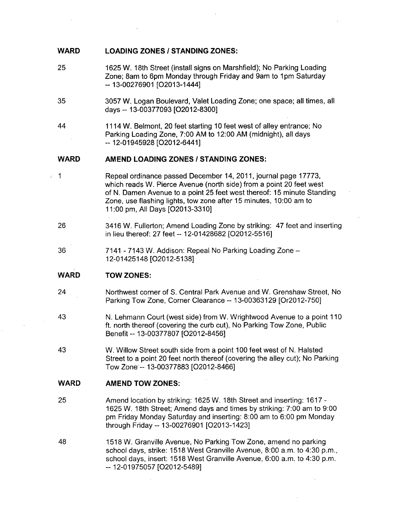#### **WARD LOADING ZONES / STANDING ZONES:**

- 25 1625 W. 18th Street (install signs on Marshfield); No Parking Loading Zone; Sam to 6pm Monday through Friday and 9am to 1pm Saturday ~ 13-00276901 [02013-1444]
- 35 3057 W. Logan Boulevard, Valet Loading Zone; one space; all times, all days ~ 13-00377093 [02012-8300]
- 44 1114 W. Belmont, 20 feet starting 10 feet west of alley entrance; No Parking Loading Zone, 7:00 AM to 12:00 AM (midnight), all days ~ 12-01945928 [02012-6441]

#### **WARD AMEND LOADING ZONES / STANDING ZONES:**

- **1**  Repeal ordinance passed December 14, 2011, journal page 17773, which reads W. Pierce Avenue (north side) from a point 20 feet west of N. Damen Avenue to a point 25 feet west thereof: 15 minute Standing Zone, use flashing lights, tow zone after 15 minutes, 10:00 am to 11:00 pm. All Days [02013-3310]
	- 26 3416 W. Fullerton; Amend Loading Zone by striking: 47 feet and inserting in lieu thereof: 27 feet -- 12-01428682 [O2012-5516]
	- 36 7141 - 7143 W. Addison: Repeal No Parking Loading Zone -12-01425148 [02012-5138]

#### **WARD TOW ZONES:**

- 24 Northwest corner of S. Central Park Avenue and W. Grenshaw Street, No Parking Tow Zone, Corner Clearance ~ 13-00363129 [Or2012-750]
- 43 N. Lehmann Court (west side) from W. Wrightwood Avenue to a point 110 ft. north thereof (covering the curb cut). No Parking Tow Zone, Public Benefit ~ 13-00377807 [O2012-8456]
- 43 W. Willow Street south side from a point 100 feet west of N. Halsted Street to a point 20 feet north thereof (covering the alley cut); No Parking Tow Zone - 13-00377883 [02012-8466]

#### **WARD AMEND TOW ZONES:**

- 25 Amend location by striking: 1625 W. 18th Street and inserting: 1617 - 1625 W. 18th Street; Amend days and times by striking: 7:00 am to 9:00 pm Friday Monday Saturday and inserting: 8:00 am to 6:00 pm Monday through Friday -- 13-00276901 [O2013-1423]
- 48 1518 W. Granville Avenue, No Parking Tow Zone, amend no parking school days, strike: 1518 West Granville Avenue, 8:00 a.m. to 4:30 p.m., school days, insert: 1518 West Granville Avenue, 6:00 a.m. to 4:30 p.m. -- 12-01975057 [O2012-5489]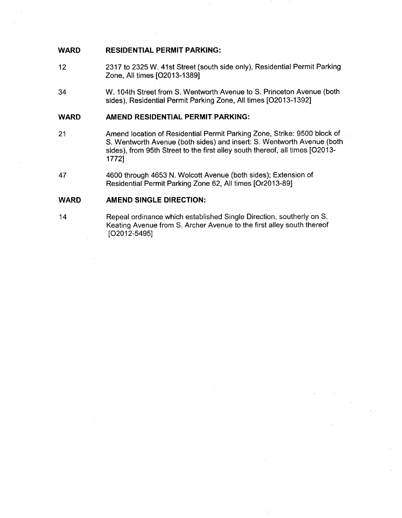# **WARD RESIDENTIAL PERMIT PARKING:**

- 12 2317 to 2325 W. 41st Street (south side only), Residential Permit Parking Zone, All times [02013-1389]
- 34 W. 104th Street from S. Wentworth Avenue to S. Princeton Avenue (both sides). Residential Permit Parking Zone, All times [02013-1392]

## **WARD AMEND RESIDENTIAL PERMIT PARKING:**

- 21 Amend location of Residential Permit Parking Zone, Strike: 9500 block of S. Wentworth Avenue (both sides) and insert: S. Wentworth Avenue (both sides), from 95th Street to the first alley south thereof, all times [O2013- 1772]
- 47 4600 through 4653 N. Wolcott Avenue (both sides); Extension of Residential Permit Parking Zone 62, All times [Or2013-89]

# **WARD AMEND SINGLE DIRECTION:**

14 Repeal ordinance which established Single Direction, southerly on S. Keating Avenue from S. Archer Avenue to the first alley south thereof [02012-5495]